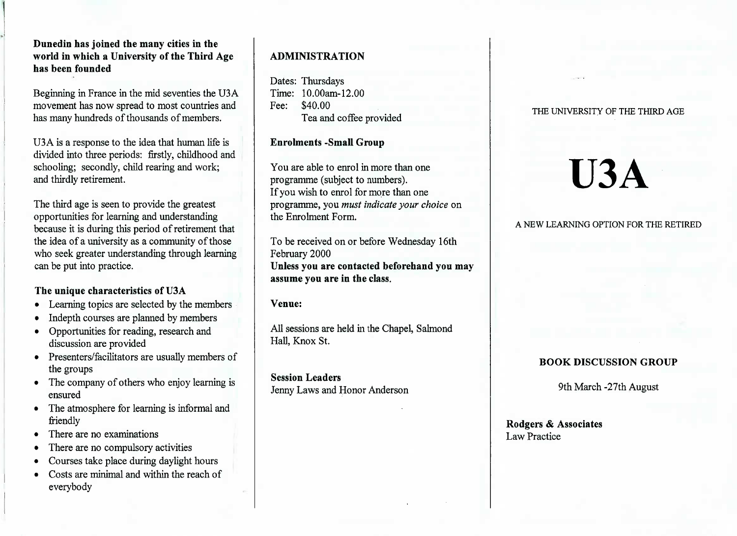## **Dunedin has joined the many cities in the world in which a University of the Third Agehas been founded**

Beginning in France in the mid seventies the U3A movement has now spread to most countries andhas many hundreds of thousands of members.

U3 A is a response to the idea that human life is divided into three periods: firstly, childhood andschooling; secondly, child rearing and work;and thirdly retirement.

The third age is seen to provide the greatest opportunities for learning and understanding because it is during this period of retirement that the idea of a university as a community of those who seek greater understanding through learningcan be put into practice.

## **The unique characteristics of U3A**

- Learning topics are selected by the members
- Indepth courses are planned by members
- Opportunities for reading, research anddiscussion are provided
- Presenters/facilitators are usually members ofthe groups
- The company of others who enjoy learning isensured
- The atmosphere for learning is informal andfriendly
- There are no examinations
- There are no compulsory activities
- Courses take place during daylight hours
- Costs are minimal and within the reach ofeverybody

# **ADMINISTRATION**

Dates: Thursdays Time: 10.00am-12.00Fee: \$40.00Tea and coffee provided

## **Enrolments -Small Group**

You are able to enrol in more than oneprogramme (subject to numbers). If you wish to enrol for more than one programme, you *must indicate your choice* onthe Enrolment Form.

To be received on or before Wednesday 16thFebruary 2000 **Unless you are contacted beforehand you mayassume you are in the class.**

**Venue:**

All sessions are held in the Chapel, SalmondHall, Knox St.

**Session Leaders**Jenny Laws and Honor Anderson

### THE UNIVERSITY OF THE THIRD AGE

# **U3A**

## A NEW LEARNING OPTION FOR THE RETIRED

# **BOOK DISCUSSION GROUP**

9th March -27th August

**Rodgers & Associates**Law Practice